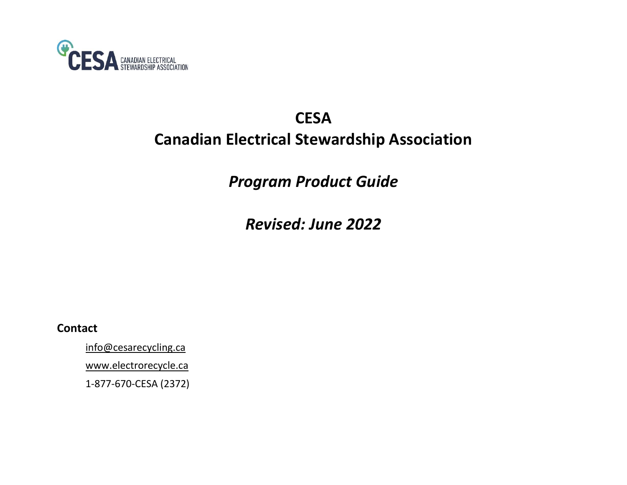

# **CESA Canadian Electrical Stewardship Association**

*Program Product Guide*

*Revised: June 2022*

**Contact**

[info@cesarecycling.ca](mailto:info@cesarecycling.ca)

[www.electrorecycle.ca](http://www.cesarecycling.ca/)

1-877-670-CESA (2372)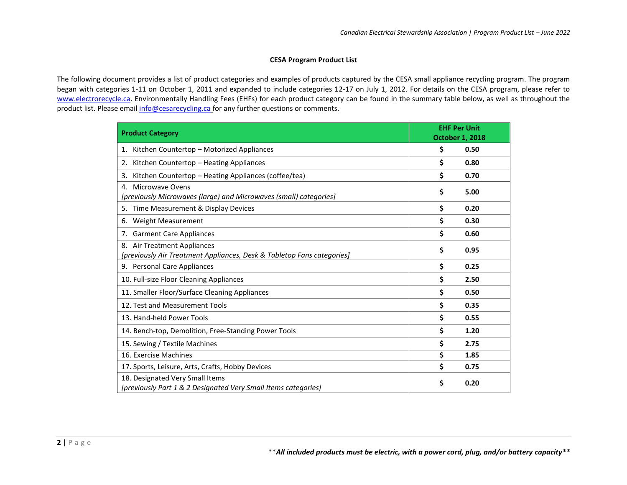## **CESA Program Product List**

The following document provides a list of product categories and examples of products captured by the CESA small appliance recycling program. The program began with categories 1-11 on October 1, 2011 and expanded to include categories 12-17 on July 1, 2012. For details on the CESA program, please refer to [www.electrorecycle.ca.](http://www.electrorecycle.ca/) Environmentally Handling Fees (EHFs) for each product category can be found in the summary table below, as well as throughout the product list. Please email [info@cesarecycling.ca](mailto:info@cesarecycling.ca) for any further questions or comments.

| <b>Product Category</b>                                                                               | <b>EHF Per Unit</b><br><b>October 1, 2018</b> |      |
|-------------------------------------------------------------------------------------------------------|-----------------------------------------------|------|
| Kitchen Countertop - Motorized Appliances<br>1.                                                       | \$                                            | 0.50 |
| Kitchen Countertop - Heating Appliances<br>2.                                                         | \$                                            | 0.80 |
| Kitchen Countertop - Heating Appliances (coffee/tea)<br>3.                                            | \$                                            | 0.70 |
| Microwave Ovens<br>4.<br>[previously Microwaves (large) and Microwaves (small) categories]            | \$                                            | 5.00 |
| Time Measurement & Display Devices<br>5.                                                              | \$                                            | 0.20 |
| Weight Measurement<br>6.                                                                              | \$                                            | 0.30 |
| <b>Garment Care Appliances</b><br>7.                                                                  | \$                                            | 0.60 |
| 8. Air Treatment Appliances<br>[previously Air Treatment Appliances, Desk & Tabletop Fans categories] | \$                                            | 0.95 |
| 9. Personal Care Appliances                                                                           | \$                                            | 0.25 |
| 10. Full-size Floor Cleaning Appliances                                                               | \$                                            | 2.50 |
| 11. Smaller Floor/Surface Cleaning Appliances                                                         | \$                                            | 0.50 |
| 12. Test and Measurement Tools                                                                        | \$                                            | 0.35 |
| 13. Hand-held Power Tools                                                                             | \$                                            | 0.55 |
| 14. Bench-top, Demolition, Free-Standing Power Tools                                                  | \$                                            | 1.20 |
| 15. Sewing / Textile Machines                                                                         | \$                                            | 2.75 |
| 16. Exercise Machines                                                                                 | \$                                            | 1.85 |
| 17. Sports, Leisure, Arts, Crafts, Hobby Devices                                                      | \$                                            | 0.75 |
| 18. Designated Very Small Items<br>[previously Part 1 & 2 Designated Very Small Items categories]     | \$                                            | 0.20 |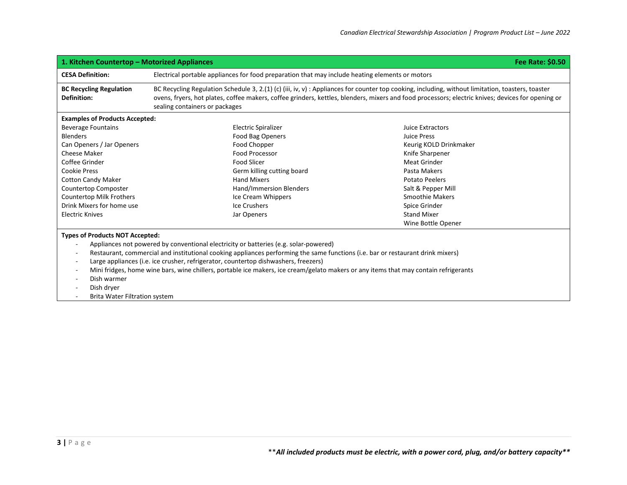| <b>Fee Rate: \$0.50</b><br>1. Kitchen Countertop – Motorized Appliances                                                                                          |                                                                                                                                                                                                                                                                                                                                          |                        |  |
|------------------------------------------------------------------------------------------------------------------------------------------------------------------|------------------------------------------------------------------------------------------------------------------------------------------------------------------------------------------------------------------------------------------------------------------------------------------------------------------------------------------|------------------------|--|
| <b>CESA Definition:</b>                                                                                                                                          | Electrical portable appliances for food preparation that may include heating elements or motors                                                                                                                                                                                                                                          |                        |  |
| <b>BC Recycling Regulation</b><br><b>Definition:</b>                                                                                                             | BC Recycling Regulation Schedule 3, 2.(1) (c) (iii, iv, v) : Appliances for counter top cooking, including, without limitation, toasters, toaster<br>ovens, fryers, hot plates, coffee makers, coffee grinders, kettles, blenders, mixers and food processors; electric knives; devices for opening or<br>sealing containers or packages |                        |  |
| <b>Examples of Products Accepted:</b>                                                                                                                            |                                                                                                                                                                                                                                                                                                                                          |                        |  |
| <b>Beverage Fountains</b>                                                                                                                                        | <b>Electric Spiralizer</b>                                                                                                                                                                                                                                                                                                               | Juice Extractors       |  |
| <b>Blenders</b>                                                                                                                                                  | <b>Food Bag Openers</b>                                                                                                                                                                                                                                                                                                                  | Juice Press            |  |
| Can Openers / Jar Openers                                                                                                                                        | Food Chopper                                                                                                                                                                                                                                                                                                                             | Keurig KOLD Drinkmaker |  |
| Cheese Maker                                                                                                                                                     | Food Processor                                                                                                                                                                                                                                                                                                                           | Knife Sharpener        |  |
| Coffee Grinder                                                                                                                                                   | <b>Food Slicer</b>                                                                                                                                                                                                                                                                                                                       | <b>Meat Grinder</b>    |  |
| <b>Cookie Press</b>                                                                                                                                              | Germ killing cutting board                                                                                                                                                                                                                                                                                                               | Pasta Makers           |  |
| <b>Cotton Candy Maker</b>                                                                                                                                        | <b>Hand Mixers</b>                                                                                                                                                                                                                                                                                                                       | <b>Potato Peelers</b>  |  |
| Countertop Composter                                                                                                                                             | Hand/Immersion Blenders                                                                                                                                                                                                                                                                                                                  | Salt & Pepper Mill     |  |
| <b>Countertop Milk Frothers</b>                                                                                                                                  | Ice Cream Whippers                                                                                                                                                                                                                                                                                                                       | <b>Smoothie Makers</b> |  |
| Drink Mixers for home use                                                                                                                                        | Ice Crushers                                                                                                                                                                                                                                                                                                                             | Spice Grinder          |  |
| <b>Electric Knives</b>                                                                                                                                           | Jar Openers                                                                                                                                                                                                                                                                                                                              | <b>Stand Mixer</b>     |  |
|                                                                                                                                                                  |                                                                                                                                                                                                                                                                                                                                          | Wine Bottle Opener     |  |
| <b>Types of Products NOT Accepted:</b>                                                                                                                           |                                                                                                                                                                                                                                                                                                                                          |                        |  |
|                                                                                                                                                                  | Appliances not powered by conventional electricity or batteries (e.g. solar-powered)                                                                                                                                                                                                                                                     |                        |  |
|                                                                                                                                                                  | Restaurant, commercial and institutional cooking appliances performing the same functions (i.e. bar or restaurant drink mixers)                                                                                                                                                                                                          |                        |  |
| $\overline{\phantom{a}}$                                                                                                                                         | Large appliances (i.e. ice crusher, refrigerator, countertop dishwashers, freezers)                                                                                                                                                                                                                                                      |                        |  |
| Mini fridges, home wine bars, wine chillers, portable ice makers, ice cream/gelato makers or any items that may contain refrigerants<br>$\overline{\phantom{a}}$ |                                                                                                                                                                                                                                                                                                                                          |                        |  |
| Dish warmer                                                                                                                                                      |                                                                                                                                                                                                                                                                                                                                          |                        |  |
| Dish dryer                                                                                                                                                       |                                                                                                                                                                                                                                                                                                                                          |                        |  |
| <b>Brita Water Filtration system</b>                                                                                                                             |                                                                                                                                                                                                                                                                                                                                          |                        |  |
|                                                                                                                                                                  |                                                                                                                                                                                                                                                                                                                                          |                        |  |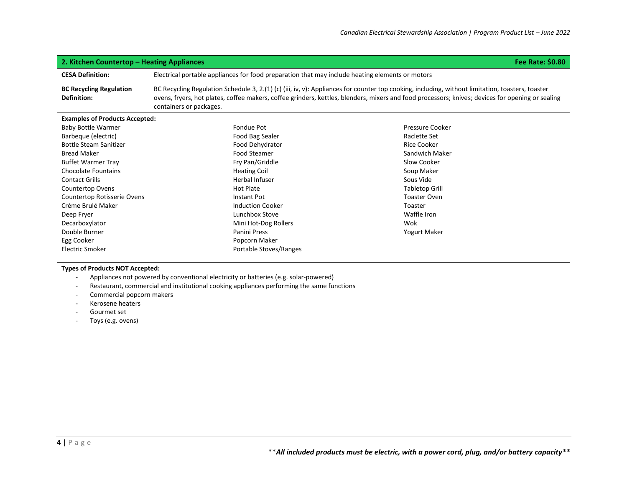| <b>Fee Rate: \$0.80</b><br>2. Kitchen Countertop - Heating Appliances                                                       |                                                                                                                                                                                                                                                                                                                                 |                        |  |
|-----------------------------------------------------------------------------------------------------------------------------|---------------------------------------------------------------------------------------------------------------------------------------------------------------------------------------------------------------------------------------------------------------------------------------------------------------------------------|------------------------|--|
| <b>CESA Definition:</b>                                                                                                     | Electrical portable appliances for food preparation that may include heating elements or motors                                                                                                                                                                                                                                 |                        |  |
| <b>BC Recycling Regulation</b><br><b>Definition:</b>                                                                        | BC Recycling Regulation Schedule 3, 2.(1) (c) (iii, iv, v): Appliances for counter top cooking, including, without limitation, toasters, toaster<br>ovens, fryers, hot plates, coffee makers, coffee grinders, kettles, blenders, mixers and food processors; knives; devices for opening or sealing<br>containers or packages. |                        |  |
| <b>Examples of Products Accepted:</b>                                                                                       |                                                                                                                                                                                                                                                                                                                                 |                        |  |
| <b>Baby Bottle Warmer</b>                                                                                                   | <b>Fondue Pot</b>                                                                                                                                                                                                                                                                                                               | <b>Pressure Cooker</b> |  |
| Barbeque (electric)                                                                                                         | Food Bag Sealer                                                                                                                                                                                                                                                                                                                 | Raclette Set           |  |
| <b>Bottle Steam Sanitizer</b>                                                                                               | Food Dehydrator                                                                                                                                                                                                                                                                                                                 | <b>Rice Cooker</b>     |  |
| <b>Bread Maker</b>                                                                                                          | <b>Food Steamer</b>                                                                                                                                                                                                                                                                                                             | Sandwich Maker         |  |
| <b>Buffet Warmer Tray</b>                                                                                                   | Fry Pan/Griddle                                                                                                                                                                                                                                                                                                                 | Slow Cooker            |  |
| <b>Chocolate Fountains</b>                                                                                                  | <b>Heating Coil</b>                                                                                                                                                                                                                                                                                                             | Soup Maker             |  |
| <b>Contact Grills</b>                                                                                                       | <b>Herbal Infuser</b>                                                                                                                                                                                                                                                                                                           | Sous Vide              |  |
| <b>Countertop Ovens</b>                                                                                                     | <b>Hot Plate</b>                                                                                                                                                                                                                                                                                                                | <b>Tabletop Grill</b>  |  |
| <b>Countertop Rotisserie Ovens</b>                                                                                          | <b>Instant Pot</b>                                                                                                                                                                                                                                                                                                              | <b>Toaster Oven</b>    |  |
| Crème Brulé Maker                                                                                                           | <b>Induction Cooker</b>                                                                                                                                                                                                                                                                                                         | Toaster                |  |
| Deep Fryer                                                                                                                  | Lunchbox Stove                                                                                                                                                                                                                                                                                                                  | Waffle Iron            |  |
| Decarboxylator                                                                                                              | Mini Hot-Dog Rollers                                                                                                                                                                                                                                                                                                            | Wok                    |  |
| Double Burner                                                                                                               | Panini Press                                                                                                                                                                                                                                                                                                                    | Yogurt Maker           |  |
| Egg Cooker                                                                                                                  | Popcorn Maker                                                                                                                                                                                                                                                                                                                   |                        |  |
| Electric Smoker                                                                                                             | Portable Stoves/Ranges                                                                                                                                                                                                                                                                                                          |                        |  |
| <b>Types of Products NOT Accepted:</b><br>Commercial popcorn makers<br>Kerosene heaters<br>Gourmet set<br>Toys (e.g. ovens) | Appliances not powered by conventional electricity or batteries (e.g. solar-powered)<br>Restaurant, commercial and institutional cooking appliances performing the same functions                                                                                                                                               |                        |  |

**4 |** P a g e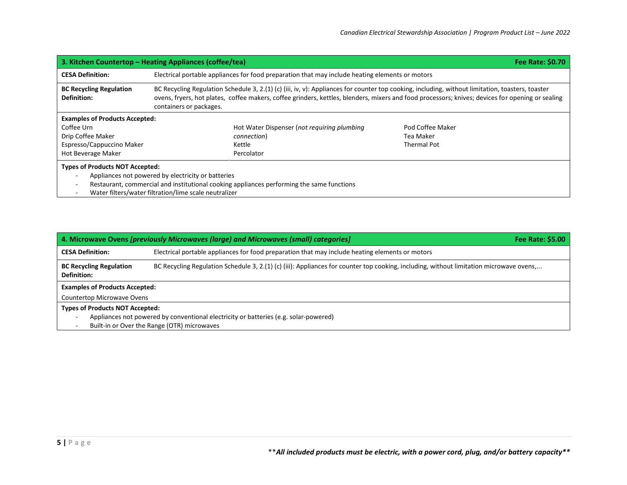| 3. Kitchen Countertop – Heating Appliances (coffee/tea)<br><b>Fee Rate: \$0.70</b>                                                                                                        |                                                                                                                                                                                                                                                                                                                                 |  |  |
|-------------------------------------------------------------------------------------------------------------------------------------------------------------------------------------------|---------------------------------------------------------------------------------------------------------------------------------------------------------------------------------------------------------------------------------------------------------------------------------------------------------------------------------|--|--|
| <b>CESA Definition:</b>                                                                                                                                                                   | Electrical portable appliances for food preparation that may include heating elements or motors                                                                                                                                                                                                                                 |  |  |
| <b>BC Recycling Regulation</b><br><b>Definition:</b>                                                                                                                                      | BC Recycling Regulation Schedule 3, 2.(1) (c) (iii, iv, v): Appliances for counter top cooking, including, without limitation, toasters, toaster<br>ovens, fryers, hot plates, coffee makers, coffee grinders, kettles, blenders, mixers and food processors; knives; devices for opening or sealing<br>containers or packages. |  |  |
| <b>Examples of Products Accepted:</b><br>Coffee Urn<br>Drip Coffee Maker                                                                                                                  | Hot Water Dispenser (not requiring plumbing<br>Pod Coffee Maker<br>Tea Maker<br>connection)                                                                                                                                                                                                                                     |  |  |
| Espresso/Cappuccino Maker<br>Hot Beverage Maker                                                                                                                                           | Thermal Pot<br>Kettle<br>Percolator                                                                                                                                                                                                                                                                                             |  |  |
| <b>Types of Products NOT Accepted:</b><br>Appliances not powered by electricity or batteries<br>Restaurant, commercial and institutional cooking appliances performing the same functions |                                                                                                                                                                                                                                                                                                                                 |  |  |

- Water filters/water filtration/lime scale neutralizer

| 4. Microwave Ovens [previously Microwaves (large) and Microwaves (small) categories]<br>Fee Rate: \$5.00                                                                                        |                                                                                                 |  |  |  |
|-------------------------------------------------------------------------------------------------------------------------------------------------------------------------------------------------|-------------------------------------------------------------------------------------------------|--|--|--|
| <b>CESA Definition:</b>                                                                                                                                                                         | Electrical portable appliances for food preparation that may include heating elements or motors |  |  |  |
| BC Recycling Regulation Schedule 3, 2.(1) (c) (iii): Appliances for counter top cooking, including, without limitation microwave ovens,<br><b>BC Recycling Regulation</b><br><b>Definition:</b> |                                                                                                 |  |  |  |
| <b>Examples of Products Accepted:</b>                                                                                                                                                           |                                                                                                 |  |  |  |
| Countertop Microwave Ovens                                                                                                                                                                      |                                                                                                 |  |  |  |
| <b>Types of Products NOT Accepted:</b>                                                                                                                                                          |                                                                                                 |  |  |  |
| Appliances not powered by conventional electricity or batteries (e.g. solar-powered)                                                                                                            |                                                                                                 |  |  |  |
| Built-in or Over the Range (OTR) microwaves                                                                                                                                                     |                                                                                                 |  |  |  |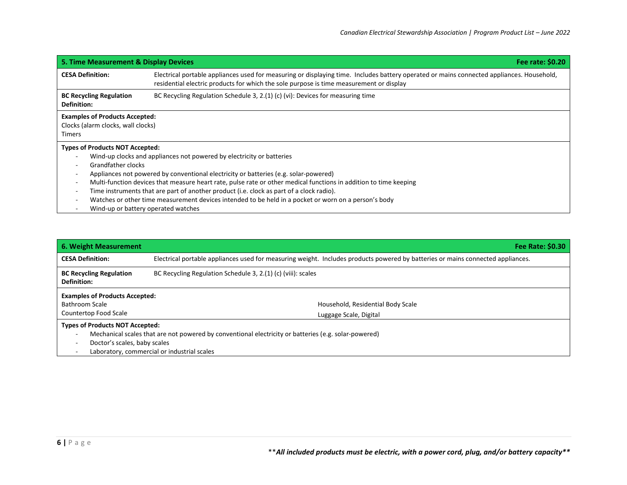| 5. Time Measurement & Display Devices                                                                                                                                                   | Fee rate: \$0.20                                                                                                                                                                                                                                                                                                                                                                                                                                                                       |
|-----------------------------------------------------------------------------------------------------------------------------------------------------------------------------------------|----------------------------------------------------------------------------------------------------------------------------------------------------------------------------------------------------------------------------------------------------------------------------------------------------------------------------------------------------------------------------------------------------------------------------------------------------------------------------------------|
| <b>CESA Definition:</b>                                                                                                                                                                 | Electrical portable appliances used for measuring or displaying time. Includes battery operated or mains connected appliances. Household,<br>residential electric products for which the sole purpose is time measurement or display                                                                                                                                                                                                                                                   |
| <b>BC Recycling Regulation</b><br>Definition:                                                                                                                                           | BC Recycling Regulation Schedule 3, 2.(1) (c) (vi): Devices for measuring time                                                                                                                                                                                                                                                                                                                                                                                                         |
| <b>Examples of Products Accepted:</b><br>Clocks (alarm clocks, wall clocks)<br><b>Timers</b>                                                                                            |                                                                                                                                                                                                                                                                                                                                                                                                                                                                                        |
| <b>Types of Products NOT Accepted:</b><br>Grandfather clocks<br>$\overline{\phantom{a}}$<br>$\overline{\phantom{a}}$<br>$\overline{\phantom{a}}$<br>Wind-up or battery operated watches | Wind-up clocks and appliances not powered by electricity or batteries<br>Appliances not powered by conventional electricity or batteries (e.g. solar-powered)<br>Multi-function devices that measure heart rate, pulse rate or other medical functions in addition to time keeping<br>Time instruments that are part of another product (i.e. clock as part of a clock radio).<br>Watches or other time measurement devices intended to be held in a pocket or worn on a person's body |

| 6. Weight Measurement                                                  | <b>Fee Rate: \$0.30</b>                                                                                                         |  |  |
|------------------------------------------------------------------------|---------------------------------------------------------------------------------------------------------------------------------|--|--|
| <b>CESA Definition:</b>                                                | Electrical portable appliances used for measuring weight. Includes products powered by batteries or mains connected appliances. |  |  |
| <b>BC Recycling Regulation</b><br><b>Definition:</b>                   | BC Recycling Regulation Schedule 3, 2.(1) (c) (viii): scales                                                                    |  |  |
| <b>Examples of Products Accepted:</b>                                  |                                                                                                                                 |  |  |
| Bathroom Scale                                                         | Household, Residential Body Scale                                                                                               |  |  |
| Countertop Food Scale                                                  | Luggage Scale, Digital                                                                                                          |  |  |
| <b>Types of Products NOT Accepted:</b><br>Doctor's scales, baby scales | Mechanical scales that are not powered by conventional electricity or batteries (e.g. solar-powered)                            |  |  |

- Laboratory, commercial or industrial scales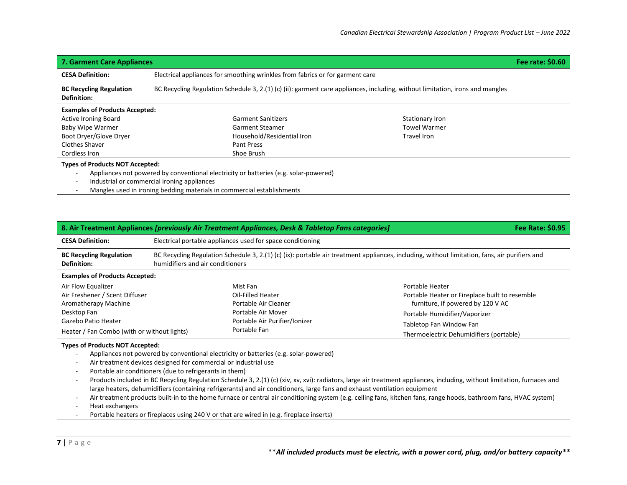| 7. Garment Care Appliances                           |                                                                                                                                                                                                                                                             |                     | Fee rate: \$0.60 |
|------------------------------------------------------|-------------------------------------------------------------------------------------------------------------------------------------------------------------------------------------------------------------------------------------------------------------|---------------------|------------------|
| <b>CESA Definition:</b>                              | Electrical appliances for smoothing wrinkles from fabrics or for garment care                                                                                                                                                                               |                     |                  |
| <b>BC Recycling Regulation</b><br><b>Definition:</b> | BC Recycling Regulation Schedule 3, 2.(1) (c) (ii): garment care appliances, including, without limitation, irons and mangles                                                                                                                               |                     |                  |
| <b>Examples of Products Accepted:</b>                |                                                                                                                                                                                                                                                             |                     |                  |
| <b>Active Ironing Board</b>                          | <b>Garment Sanitizers</b>                                                                                                                                                                                                                                   | Stationary Iron     |                  |
| <b>Baby Wipe Warmer</b>                              | <b>Garment Steamer</b>                                                                                                                                                                                                                                      | <b>Towel Warmer</b> |                  |
| Boot Dryer/Glove Dryer                               | Household/Residential Iron                                                                                                                                                                                                                                  | Travel Iron         |                  |
| <b>Clothes Shaver</b>                                | Pant Press                                                                                                                                                                                                                                                  |                     |                  |
| Cordless Iron                                        | Shoe Brush                                                                                                                                                                                                                                                  |                     |                  |
| <b>Types of Products NOT Accepted:</b>               | Appliances not powered by conventional electricity or batteries (e.g. solar-powered)<br>Industrial or commercial ironing appliances<br>the contract of the contract of the contract of the contract of the contract of the contract of the contract of<br>. |                     |                  |

- Mangles used in ironing bedding materials in commercial establishments

|                                                                                                                                                                   |                                                                                                                                                                                   | 8. Air Treatment Appliances [previously Air Treatment Appliances, Desk & Tabletop Fans categories]                                                                                                                                                                                                            |  | <b>Fee Rate: \$0.95</b>                                                                                                                                                                                                                                                                                                                        |
|-------------------------------------------------------------------------------------------------------------------------------------------------------------------|-----------------------------------------------------------------------------------------------------------------------------------------------------------------------------------|---------------------------------------------------------------------------------------------------------------------------------------------------------------------------------------------------------------------------------------------------------------------------------------------------------------|--|------------------------------------------------------------------------------------------------------------------------------------------------------------------------------------------------------------------------------------------------------------------------------------------------------------------------------------------------|
| <b>CESA Definition:</b>                                                                                                                                           | Electrical portable appliances used for space conditioning                                                                                                                        |                                                                                                                                                                                                                                                                                                               |  |                                                                                                                                                                                                                                                                                                                                                |
| <b>BC Recycling Regulation</b><br><b>Definition:</b>                                                                                                              | BC Recycling Regulation Schedule 3, 2.(1) (c) (ix): portable air treatment appliances, including, without limitation, fans, air purifiers and<br>humidifiers and air conditioners |                                                                                                                                                                                                                                                                                                               |  |                                                                                                                                                                                                                                                                                                                                                |
| <b>Examples of Products Accepted:</b>                                                                                                                             |                                                                                                                                                                                   |                                                                                                                                                                                                                                                                                                               |  |                                                                                                                                                                                                                                                                                                                                                |
| Air Flow Equalizer<br>Air Freshener / Scent Diffuser<br>Aromatherapy Machine<br>Desktop Fan<br>Gazebo Patio Heater<br>Heater / Fan Combo (with or without lights) |                                                                                                                                                                                   | Mist Fan<br>Oil-Filled Heater<br>Portable Air Cleaner<br>Portable Air Mover<br>Portable Air Purifier/Ionizer<br>Portable Fan                                                                                                                                                                                  |  | Portable Heater<br>Portable Heater or Fireplace built to resemble<br>furniture, if powered by 120 V AC<br>Portable Humidifier/Vaporizer<br>Tabletop Fan Window Fan<br>Thermoelectric Dehumidifiers (portable)                                                                                                                                  |
| <b>Types of Products NOT Accepted:</b><br>$\overline{\phantom{a}}$<br>$\overline{\phantom{a}}$<br>Heat exchangers                                                 | Air treatment devices designed for commercial or industrial use<br>Portable air conditioners (due to refrigerants in them)                                                        | Appliances not powered by conventional electricity or batteries (e.g. solar-powered)<br>large heaters, dehumidifiers (containing refrigerants) and air conditioners, large fans and exhaust ventilation equipment<br>Portable heaters or fireplaces using 240 V or that are wired in (e.g. fireplace inserts) |  | Products included in BC Recycling Regulation Schedule 3, 2.(1) (c) (xiv, xv, xvi): radiators, large air treatment appliances, including, without limitation, furnaces and<br>Air treatment products built-in to the home furnace or central air conditioning system (e.g. ceiling fans, kitchen fans, range hoods, bathroom fans, HVAC system) |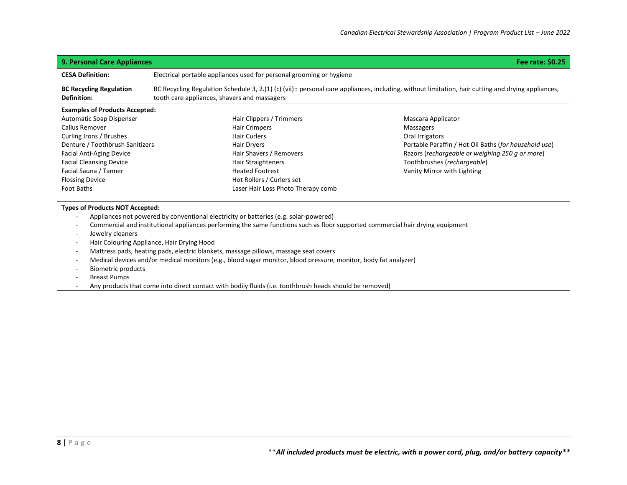| <b>9. Personal Care Appliances</b><br>Fee rate: \$0.25                                                                                                                                                                                                                                                                                                                                                                                                                                                                                                                                                                                                                                                                 |                                                                                                                                                                                                                                      |                                                                                                                                                                                                                              |  |
|------------------------------------------------------------------------------------------------------------------------------------------------------------------------------------------------------------------------------------------------------------------------------------------------------------------------------------------------------------------------------------------------------------------------------------------------------------------------------------------------------------------------------------------------------------------------------------------------------------------------------------------------------------------------------------------------------------------------|--------------------------------------------------------------------------------------------------------------------------------------------------------------------------------------------------------------------------------------|------------------------------------------------------------------------------------------------------------------------------------------------------------------------------------------------------------------------------|--|
| <b>CESA Definition:</b>                                                                                                                                                                                                                                                                                                                                                                                                                                                                                                                                                                                                                                                                                                | Electrical portable appliances used for personal grooming or hygiene                                                                                                                                                                 |                                                                                                                                                                                                                              |  |
| <b>BC Recycling Regulation</b><br><b>Definition:</b>                                                                                                                                                                                                                                                                                                                                                                                                                                                                                                                                                                                                                                                                   | BC Recycling Regulation Schedule 3, 2.(1) (c) (vii):: personal care appliances, including, without limitation, hair cutting and drying appliances,<br>tooth care appliances, shavers and massagers                                   |                                                                                                                                                                                                                              |  |
| <b>Examples of Products Accepted:</b><br>Automatic Soap Dispenser<br>Callus Remover<br>Curling Irons / Brushes<br>Denture / Toothbrush Sanitizers<br><b>Facial Anti-Aging Device</b><br><b>Facial Cleansing Device</b><br>Facial Sauna / Tanner<br><b>Flossing Device</b><br><b>Foot Baths</b>                                                                                                                                                                                                                                                                                                                                                                                                                         | Hair Clippers / Trimmers<br><b>Hair Crimpers</b><br><b>Hair Curlers</b><br>Hair Dryers<br>Hair Shavers / Removers<br>Hair Straighteners<br><b>Heated Footrest</b><br>Hot Rollers / Curlers set<br>Laser Hair Loss Photo Therapy comb | Mascara Applicator<br>Massagers<br>Oral Irrigators<br>Portable Paraffin / Hot Oil Baths (for household use)<br>Razors (rechargeable or weighing 250 g or more)<br>Toothbrushes (rechargeable)<br>Vanity Mirror with Lighting |  |
| <b>Types of Products NOT Accepted:</b><br>Appliances not powered by conventional electricity or batteries (e.g. solar-powered)<br>Commercial and institutional appliances performing the same functions such as floor supported commercial hair drying equipment<br>Jewelry cleaners<br>$\sim$<br>Hair Colouring Appliance, Hair Drying Hood<br>Mattress pads, heating pads, electric blankets, massage pillows, massage seat covers<br>Medical devices and/or medical monitors (e.g., blood sugar monitor, blood pressure, monitor, body fat analyzer)<br><b>Biometric products</b><br><b>Breast Pumps</b><br>Any products that come into direct contact with bodily fluids (i.e. toothbrush heads should be removed) |                                                                                                                                                                                                                                      |                                                                                                                                                                                                                              |  |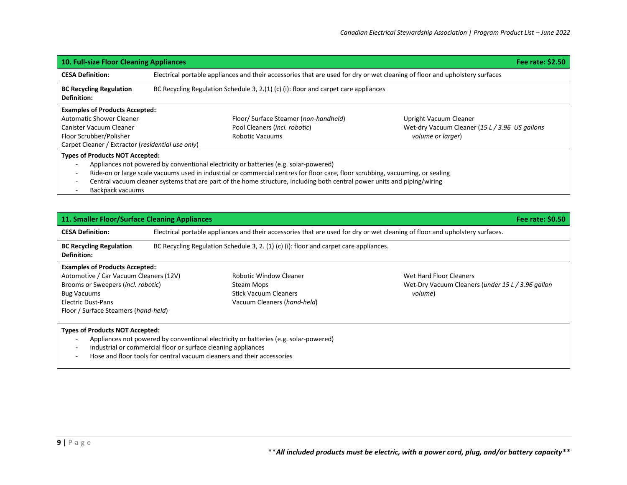| <b>10. Full-size Floor Cleaning Appliances</b><br>Fee rate: \$2.50                                                                                                                                                                                                                                                                                                                                                                     |                                                                                                                             |                                                |  |
|----------------------------------------------------------------------------------------------------------------------------------------------------------------------------------------------------------------------------------------------------------------------------------------------------------------------------------------------------------------------------------------------------------------------------------------|-----------------------------------------------------------------------------------------------------------------------------|------------------------------------------------|--|
| <b>CESA Definition:</b>                                                                                                                                                                                                                                                                                                                                                                                                                | Electrical portable appliances and their accessories that are used for dry or wet cleaning of floor and upholstery surfaces |                                                |  |
| <b>BC Recycling Regulation</b><br>Definition:                                                                                                                                                                                                                                                                                                                                                                                          | BC Recycling Regulation Schedule 3, 2.(1) (c) (i): floor and carpet care appliances                                         |                                                |  |
| <b>Examples of Products Accepted:</b>                                                                                                                                                                                                                                                                                                                                                                                                  |                                                                                                                             |                                                |  |
| <b>Automatic Shower Cleaner</b>                                                                                                                                                                                                                                                                                                                                                                                                        | Floor/ Surface Steamer (non-handheld)                                                                                       | Upright Vacuum Cleaner                         |  |
| Canister Vacuum Cleaner                                                                                                                                                                                                                                                                                                                                                                                                                | Pool Cleaners (incl. robotic)                                                                                               | Wet-dry Vacuum Cleaner (15 L / 3.96 US gallons |  |
| Floor Scrubber/Polisher                                                                                                                                                                                                                                                                                                                                                                                                                | Robotic Vacuums                                                                                                             | volume or larger)                              |  |
| Carpet Cleaner / Extractor (residential use only)                                                                                                                                                                                                                                                                                                                                                                                      |                                                                                                                             |                                                |  |
| <b>Types of Products NOT Accepted:</b><br>Appliances not powered by conventional electricity or batteries (e.g. solar-powered)<br>Ride-on or large scale vacuums used in industrial or commercial centres for floor care, floor scrubbing, vacuuming, or sealing<br>Central vacuum cleaner systems that are part of the home structure, including both central power units and piping/wiring<br>المتحمد ددده بحرم والمتحادية والمتحالة |                                                                                                                             |                                                |  |

- Backpack vacuums

| 11. Smaller Floor/Surface Cleaning Appliances<br>Fee rate: \$0.50                                                                                                                                                                                                  |                                                                                                                              |                                                                                                            |                                                                                         |
|--------------------------------------------------------------------------------------------------------------------------------------------------------------------------------------------------------------------------------------------------------------------|------------------------------------------------------------------------------------------------------------------------------|------------------------------------------------------------------------------------------------------------|-----------------------------------------------------------------------------------------|
| <b>CESA Definition:</b>                                                                                                                                                                                                                                            | Electrical portable appliances and their accessories that are used for dry or wet cleaning of floor and upholstery surfaces. |                                                                                                            |                                                                                         |
| <b>BC Recycling Regulation</b><br>Definition:                                                                                                                                                                                                                      | BC Recycling Regulation Schedule 3, 2. $(1)$ (c) (i): floor and carpet care appliances.                                      |                                                                                                            |                                                                                         |
| <b>Examples of Products Accepted:</b><br>Automotive / Car Vacuum Cleaners (12V)<br>Brooms or Sweepers (incl. robotic)<br><b>Bug Vacuums</b><br><b>Electric Dust-Pans</b><br>Floor / Surface Steamers (hand-held)                                                   |                                                                                                                              | <b>Robotic Window Cleaner</b><br>Steam Mops<br><b>Stick Vacuum Cleaners</b><br>Vacuum Cleaners (hand-held) | Wet Hard Floor Cleaners<br>Wet-Dry Vacuum Cleaners (under 15 L / 3.96 gallon<br>volume) |
| Types of Products NOT Accepted:<br>Appliances not powered by conventional electricity or batteries (e.g. solar-powered)<br>Industrial or commercial floor or surface cleaning appliances<br>Hose and floor tools for central vacuum cleaners and their accessories |                                                                                                                              |                                                                                                            |                                                                                         |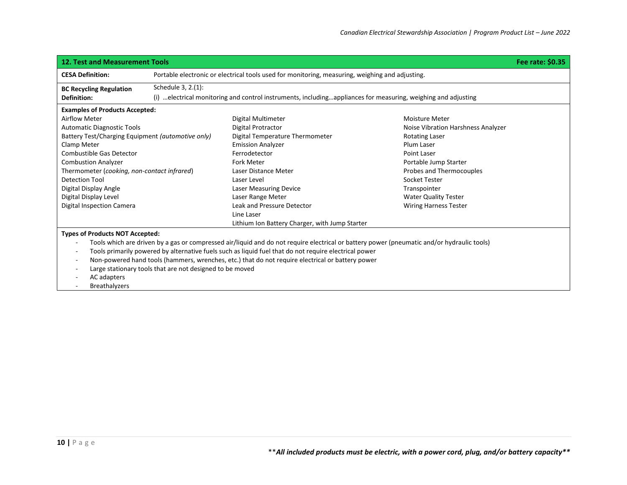| <b>12. Test and Measurement Tools</b>                                                                                                      |                                                                                                 |                                                |                                    | Fee rate: \$0.35 |
|--------------------------------------------------------------------------------------------------------------------------------------------|-------------------------------------------------------------------------------------------------|------------------------------------------------|------------------------------------|------------------|
| <b>CESA Definition:</b>                                                                                                                    | Portable electronic or electrical tools used for monitoring, measuring, weighing and adjusting. |                                                |                                    |                  |
| <b>BC Recycling Regulation</b>                                                                                                             | Schedule 3, 2.(1):                                                                              |                                                |                                    |                  |
| (i) electrical monitoring and control instruments, includingappliances for measuring, weighing and adjusting<br>Definition:                |                                                                                                 |                                                |                                    |                  |
| <b>Examples of Products Accepted:</b>                                                                                                      |                                                                                                 |                                                |                                    |                  |
| <b>Airflow Meter</b>                                                                                                                       |                                                                                                 | Digital Multimeter                             | Moisture Meter                     |                  |
| <b>Automatic Diagnostic Tools</b>                                                                                                          |                                                                                                 | Digital Protractor                             | Noise Vibration Harshness Analyzer |                  |
| Battery Test/Charging Equipment (automotive only)                                                                                          |                                                                                                 | Digital Temperature Thermometer                | <b>Rotating Laser</b>              |                  |
| Clamp Meter                                                                                                                                |                                                                                                 | <b>Emission Analyzer</b>                       | Plum Laser                         |                  |
| Combustible Gas Detector                                                                                                                   |                                                                                                 | Ferrodetector                                  | <b>Point Laser</b>                 |                  |
| <b>Combustion Analyzer</b>                                                                                                                 |                                                                                                 | <b>Fork Meter</b>                              | Portable Jump Starter              |                  |
| Thermometer (cooking, non-contact infrared)                                                                                                |                                                                                                 | Laser Distance Meter                           | Probes and Thermocouples           |                  |
| <b>Detection Tool</b>                                                                                                                      |                                                                                                 | Laser Level                                    | Socket Tester                      |                  |
| Digital Display Angle                                                                                                                      |                                                                                                 | <b>Laser Measuring Device</b>                  | Transpointer                       |                  |
| Digital Display Level                                                                                                                      |                                                                                                 | Laser Range Meter                              | <b>Water Quality Tester</b>        |                  |
| Digital Inspection Camera                                                                                                                  |                                                                                                 | Leak and Pressure Detector                     | <b>Wiring Harness Tester</b>       |                  |
|                                                                                                                                            |                                                                                                 | Line Laser                                     |                                    |                  |
|                                                                                                                                            |                                                                                                 | Lithium Ion Battery Charger, with Jump Starter |                                    |                  |
| <b>Types of Products NOT Accepted:</b>                                                                                                     |                                                                                                 |                                                |                                    |                  |
| Tools which are driven by a gas or compressed air/liquid and do not require electrical or battery power (pneumatic and/or hydraulic tools) |                                                                                                 |                                                |                                    |                  |
| Tools primarily powered by alternative fuels such as liquid fuel that do not require electrical power                                      |                                                                                                 |                                                |                                    |                  |
| Non-powered hand tools (hammers, wrenches, etc.) that do not require electrical or battery power                                           |                                                                                                 |                                                |                                    |                  |
| Large stationary tools that are not designed to be moved                                                                                   |                                                                                                 |                                                |                                    |                  |
| AC adapters                                                                                                                                |                                                                                                 |                                                |                                    |                  |
| <b>Breathalyzers</b>                                                                                                                       |                                                                                                 |                                                |                                    |                  |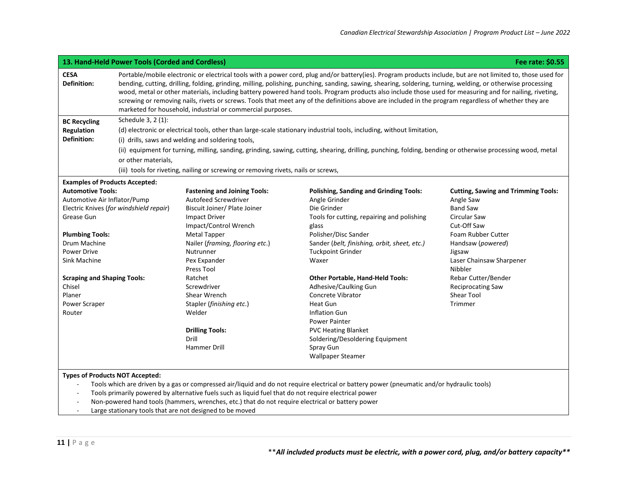| <b>CESA</b><br><b>Definition:</b><br><b>BC Recycling</b><br><b>Regulation</b><br><b>Definition:</b> | marketed for household, industrial or commercial purposes.                                                             | Portable/mobile electronic or electrical tools with a power cord, plug and/or battery(ies). Program products include, but are not limited to, those used for<br>bending, cutting, drilling, folding, grinding, milling, polishing, punching, sanding, sawing, shearing, soldering, turning, welding, or otherwise processing<br>wood, metal or other materials, including battery powered hand tools. Program products also include those used for measuring and for nailing, riveting,<br>screwing or removing nails, rivets or screws. Tools that meet any of the definitions above are included in the program regardless of whether they are |                                            |  |  |
|-----------------------------------------------------------------------------------------------------|------------------------------------------------------------------------------------------------------------------------|--------------------------------------------------------------------------------------------------------------------------------------------------------------------------------------------------------------------------------------------------------------------------------------------------------------------------------------------------------------------------------------------------------------------------------------------------------------------------------------------------------------------------------------------------------------------------------------------------------------------------------------------------|--------------------------------------------|--|--|
|                                                                                                     |                                                                                                                        |                                                                                                                                                                                                                                                                                                                                                                                                                                                                                                                                                                                                                                                  |                                            |  |  |
|                                                                                                     |                                                                                                                        | Schedule 3, 2 (1):                                                                                                                                                                                                                                                                                                                                                                                                                                                                                                                                                                                                                               |                                            |  |  |
|                                                                                                     | (d) electronic or electrical tools, other than large-scale stationary industrial tools, including, without limitation, |                                                                                                                                                                                                                                                                                                                                                                                                                                                                                                                                                                                                                                                  |                                            |  |  |
|                                                                                                     | (i) drills, saws and welding and soldering tools,                                                                      |                                                                                                                                                                                                                                                                                                                                                                                                                                                                                                                                                                                                                                                  |                                            |  |  |
|                                                                                                     |                                                                                                                        | (ii) equipment for turning, milling, sanding, grinding, sawing, cutting, shearing, drilling, punching, folding, bending or otherwise processing wood, metal                                                                                                                                                                                                                                                                                                                                                                                                                                                                                      |                                            |  |  |
|                                                                                                     | or other materials,                                                                                                    |                                                                                                                                                                                                                                                                                                                                                                                                                                                                                                                                                                                                                                                  |                                            |  |  |
|                                                                                                     | (iii) tools for riveting, nailing or screwing or removing rivets, nails or screws,                                     |                                                                                                                                                                                                                                                                                                                                                                                                                                                                                                                                                                                                                                                  |                                            |  |  |
| <b>Examples of Products Accepted:</b>                                                               |                                                                                                                        |                                                                                                                                                                                                                                                                                                                                                                                                                                                                                                                                                                                                                                                  |                                            |  |  |
| <b>Automotive Tools:</b>                                                                            | <b>Fastening and Joining Tools:</b>                                                                                    | <b>Polishing, Sanding and Grinding Tools:</b>                                                                                                                                                                                                                                                                                                                                                                                                                                                                                                                                                                                                    | <b>Cutting, Sawing and Trimming Tools:</b> |  |  |
| Automotive Air Inflator/Pump                                                                        | Autofeed Screwdriver                                                                                                   | Angle Grinder                                                                                                                                                                                                                                                                                                                                                                                                                                                                                                                                                                                                                                    | Angle Saw                                  |  |  |
| Electric Knives (for windshield repair)                                                             | Biscuit Joiner/ Plate Joiner                                                                                           | Die Grinder                                                                                                                                                                                                                                                                                                                                                                                                                                                                                                                                                                                                                                      | <b>Band Saw</b>                            |  |  |
| Grease Gun                                                                                          | <b>Impact Driver</b>                                                                                                   | Tools for cutting, repairing and polishing                                                                                                                                                                                                                                                                                                                                                                                                                                                                                                                                                                                                       | <b>Circular Saw</b>                        |  |  |
|                                                                                                     | Impact/Control Wrench                                                                                                  | glass                                                                                                                                                                                                                                                                                                                                                                                                                                                                                                                                                                                                                                            | Cut-Off Saw                                |  |  |
| <b>Plumbing Tools:</b>                                                                              | <b>Metal Tapper</b>                                                                                                    | Polisher/Disc Sander                                                                                                                                                                                                                                                                                                                                                                                                                                                                                                                                                                                                                             | Foam Rubber Cutter                         |  |  |
| Drum Machine                                                                                        | Nailer (framing, flooring etc.)                                                                                        | Sander (belt, finishing, orbit, sheet, etc.)                                                                                                                                                                                                                                                                                                                                                                                                                                                                                                                                                                                                     | Handsaw (powered)                          |  |  |
| Power Drive                                                                                         | Nutrunner                                                                                                              | <b>Tuckpoint Grinder</b>                                                                                                                                                                                                                                                                                                                                                                                                                                                                                                                                                                                                                         | Jigsaw                                     |  |  |
| Sink Machine                                                                                        | Pex Expander                                                                                                           | Waxer                                                                                                                                                                                                                                                                                                                                                                                                                                                                                                                                                                                                                                            | Laser Chainsaw Sharpener                   |  |  |
|                                                                                                     | Press Tool                                                                                                             |                                                                                                                                                                                                                                                                                                                                                                                                                                                                                                                                                                                                                                                  | Nibbler                                    |  |  |
| <b>Scraping and Shaping Tools:</b><br>Chisel                                                        | Ratchet<br>Screwdriver                                                                                                 | <b>Other Portable, Hand-Held Tools:</b>                                                                                                                                                                                                                                                                                                                                                                                                                                                                                                                                                                                                          | Rebar Cutter/Bender                        |  |  |
| Planer                                                                                              | Shear Wrench                                                                                                           | Adhesive/Caulking Gun<br>Concrete Vibrator                                                                                                                                                                                                                                                                                                                                                                                                                                                                                                                                                                                                       | <b>Reciprocating Saw</b><br>Shear Tool     |  |  |
| Power Scraper                                                                                       | Stapler (finishing etc.)                                                                                               | Heat Gun                                                                                                                                                                                                                                                                                                                                                                                                                                                                                                                                                                                                                                         | Trimmer                                    |  |  |
| Router                                                                                              | Welder                                                                                                                 | <b>Inflation Gun</b>                                                                                                                                                                                                                                                                                                                                                                                                                                                                                                                                                                                                                             |                                            |  |  |
|                                                                                                     |                                                                                                                        | <b>Power Painter</b>                                                                                                                                                                                                                                                                                                                                                                                                                                                                                                                                                                                                                             |                                            |  |  |
|                                                                                                     | <b>Drilling Tools:</b>                                                                                                 | <b>PVC Heating Blanket</b>                                                                                                                                                                                                                                                                                                                                                                                                                                                                                                                                                                                                                       |                                            |  |  |
|                                                                                                     | Drill                                                                                                                  | Soldering/Desoldering Equipment                                                                                                                                                                                                                                                                                                                                                                                                                                                                                                                                                                                                                  |                                            |  |  |
|                                                                                                     | <b>Hammer Drill</b>                                                                                                    | Spray Gun                                                                                                                                                                                                                                                                                                                                                                                                                                                                                                                                                                                                                                        |                                            |  |  |
|                                                                                                     |                                                                                                                        | <b>Wallpaper Steamer</b>                                                                                                                                                                                                                                                                                                                                                                                                                                                                                                                                                                                                                         |                                            |  |  |
|                                                                                                     |                                                                                                                        |                                                                                                                                                                                                                                                                                                                                                                                                                                                                                                                                                                                                                                                  |                                            |  |  |
|                                                                                                     |                                                                                                                        | <b>Types of Products NOT Accepted:</b>                                                                                                                                                                                                                                                                                                                                                                                                                                                                                                                                                                                                           |                                            |  |  |

- Tools which are driven by a gas or compressed air/liquid and do not require electrical or battery power (pneumatic and/or hydraulic tools)

- Tools primarily powered by alternative fuels such as liquid fuel that do not require electrical power
- Non-powered hand tools (hammers, wrenches, etc.) that do not require electrical or battery power
- Large stationary tools that are not designed to be moved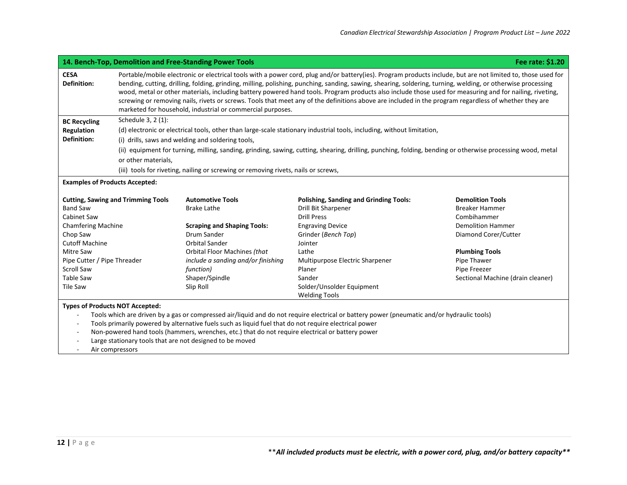|                                                         | 14. Bench-Top, Demolition and Free-Standing Power Tools<br>Fee rate: \$1.20                                                                                                                                                                                                                                                                                                                                                                                                                                                                                                                                                                                                                                    |
|---------------------------------------------------------|----------------------------------------------------------------------------------------------------------------------------------------------------------------------------------------------------------------------------------------------------------------------------------------------------------------------------------------------------------------------------------------------------------------------------------------------------------------------------------------------------------------------------------------------------------------------------------------------------------------------------------------------------------------------------------------------------------------|
| <b>CESA</b><br><b>Definition:</b>                       | Portable/mobile electronic or electrical tools with a power cord, plug and/or battery(ies). Program products include, but are not limited to, those used for<br>bending, cutting, drilling, folding, grinding, milling, polishing, punching, sanding, sawing, shearing, soldering, turning, welding, or otherwise processing<br>wood, metal or other materials, including battery powered hand tools. Program products also include those used for measuring and for nailing, riveting,<br>screwing or removing nails, rivets or screws. Tools that meet any of the definitions above are included in the program regardless of whether they are<br>marketed for household, industrial or commercial purposes. |
| <b>BC Recycling</b><br>Regulation<br><b>Definition:</b> | Schedule 3, 2 (1):<br>(d) electronic or electrical tools, other than large-scale stationary industrial tools, including, without limitation,<br>(i) drills, saws and welding and soldering tools,<br>(ii) equipment for turning, milling, sanding, grinding, sawing, cutting, shearing, drilling, punching, folding, bending or otherwise processing wood, metal<br>or other materials,<br>(iii) tools for riveting, nailing or screwing or removing rivets, nails or screws,                                                                                                                                                                                                                                  |
| <b>Examples of Products Accepted:</b>                   |                                                                                                                                                                                                                                                                                                                                                                                                                                                                                                                                                                                                                                                                                                                |

| <b>Cutting, Sawing and Trimming Tools</b> | <b>Automotive Tools</b>            | <b>Polishing, Sanding and Grinding Tools:</b> | <b>Demolition Tools</b>           |
|-------------------------------------------|------------------------------------|-----------------------------------------------|-----------------------------------|
| Band Saw                                  | <b>Brake Lathe</b>                 | Drill Bit Sharpener                           | <b>Breaker Hammer</b>             |
| Cabinet Saw                               |                                    | Drill Press                                   | Combihammer                       |
| <b>Chamfering Machine</b>                 | <b>Scraping and Shaping Tools:</b> | <b>Engraving Device</b>                       | Demolition Hammer                 |
| Chop Saw                                  | Drum Sander                        | Grinder (Bench Top)                           | Diamond Corer/Cutter              |
| Cutoff Machine                            | Orbital Sander                     | Jointer                                       |                                   |
| Mitre Saw                                 | Orbital Floor Machines (that       | Lathe                                         | <b>Plumbing Tools</b>             |
| Pipe Cutter / Pipe Threader               | include a sanding and/or finishing | Multipurpose Electric Sharpener               | Pipe Thawer                       |
| Scroll Saw                                | function)                          | Planer                                        | Pipe Freezer                      |
| Table Saw                                 | Shaper/Spindle                     | Sander                                        | Sectional Machine (drain cleaner) |
| Tile Saw                                  | Slip Roll                          | Solder/Unsolder Equipment                     |                                   |
|                                           |                                    | <b>Welding Tools</b>                          |                                   |

## **Types of Products NOT Accepted:**

- Tools which are driven by a gas or compressed air/liquid and do not require electrical or battery power (pneumatic and/or hydraulic tools)
- Tools primarily powered by alternative fuels such as liquid fuel that do not require electrical power
- Non-powered hand tools (hammers, wrenches, etc.) that do not require electrical or battery power
- Large stationary tools that are not designed to be moved
- Air compressors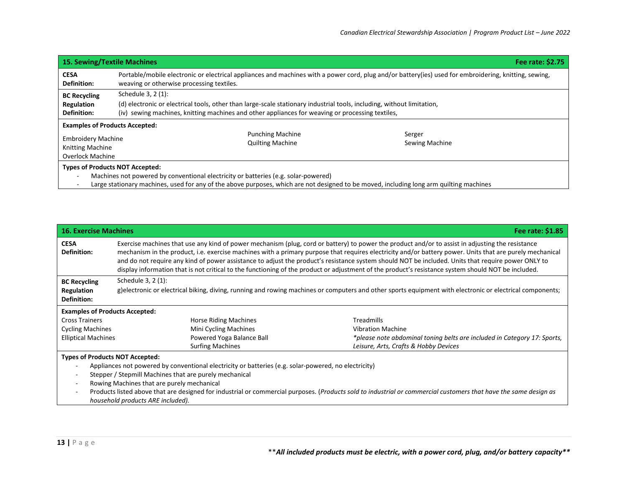| <b>15. Sewing/Textile Machines</b>                                                                                           |                                                                                                                                                                                                                                                  |  | Fee rate: \$2.75         |
|------------------------------------------------------------------------------------------------------------------------------|--------------------------------------------------------------------------------------------------------------------------------------------------------------------------------------------------------------------------------------------------|--|--------------------------|
| <b>CESA</b><br><b>Definition:</b>                                                                                            | Portable/mobile electronic or electrical appliances and machines with a power cord, plug and/or battery(ies) used for embroidering, knitting, sewing,<br>weaving or otherwise processing textiles.                                               |  |                          |
| <b>BC Recycling</b><br>Regulation<br><b>Definition:</b>                                                                      | Schedule 3, 2 (1):<br>(d) electronic or electrical tools, other than large-scale stationary industrial tools, including, without limitation,<br>(iv) sewing machines, knitting machines and other appliances for weaving or processing textiles, |  |                          |
| <b>Examples of Products Accepted:</b><br><b>Embroidery Machine</b><br><b>Knitting Machine</b><br><b>Overlock Machine</b>     | <b>Punching Machine</b><br><b>Quilting Machine</b>                                                                                                                                                                                               |  | Serger<br>Sewing Machine |
| <b>Types of Products NOT Accepted:</b><br>Machines not powered by conventional electricity or batteries (e.g. solar-powered) |                                                                                                                                                                                                                                                  |  |                          |

- Large stationary machines, used for any of the above purposes, which are not designed to be moved, including long arm quilting machines

| <b>16. Exercise Machines</b>                                                                                                                                     |                                                                                                                                                                                                                                                                                                                                                                                                                                                                                                                                                                                                                           | Fee rate: \$1.85                                                         |  |  |
|------------------------------------------------------------------------------------------------------------------------------------------------------------------|---------------------------------------------------------------------------------------------------------------------------------------------------------------------------------------------------------------------------------------------------------------------------------------------------------------------------------------------------------------------------------------------------------------------------------------------------------------------------------------------------------------------------------------------------------------------------------------------------------------------------|--------------------------------------------------------------------------|--|--|
| <b>CESA</b><br><b>Definition:</b>                                                                                                                                | Exercise machines that use any kind of power mechanism (plug, cord or battery) to power the product and/or to assist in adjusting the resistance<br>mechanism in the product, i.e. exercise machines with a primary purpose that requires electricity and/or battery power. Units that are purely mechanical<br>and do not require any kind of power assistance to adjust the product's resistance system should NOT be included. Units that require power ONLY to<br>display information that is not critical to the functioning of the product or adjustment of the product's resistance system should NOT be included. |                                                                          |  |  |
| <b>BC Recycling</b>                                                                                                                                              | Schedule 3, 2 (1):                                                                                                                                                                                                                                                                                                                                                                                                                                                                                                                                                                                                        |                                                                          |  |  |
| Regulation<br><b>Definition:</b>                                                                                                                                 | g)electronic or electrical biking, diving, running and rowing machines or computers and other sports equipment with electronic or electrical components;                                                                                                                                                                                                                                                                                                                                                                                                                                                                  |                                                                          |  |  |
| <b>Examples of Products Accepted:</b>                                                                                                                            |                                                                                                                                                                                                                                                                                                                                                                                                                                                                                                                                                                                                                           |                                                                          |  |  |
| <b>Cross Trainers</b>                                                                                                                                            | <b>Horse Riding Machines</b>                                                                                                                                                                                                                                                                                                                                                                                                                                                                                                                                                                                              | <b>Treadmills</b>                                                        |  |  |
| <b>Cycling Machines</b>                                                                                                                                          | Mini Cycling Machines                                                                                                                                                                                                                                                                                                                                                                                                                                                                                                                                                                                                     | <b>Vibration Machine</b>                                                 |  |  |
| <b>Elliptical Machines</b>                                                                                                                                       | Powered Yoga Balance Ball                                                                                                                                                                                                                                                                                                                                                                                                                                                                                                                                                                                                 | *please note abdominal toning belts are included in Category 17: Sports, |  |  |
|                                                                                                                                                                  | <b>Surfing Machines</b>                                                                                                                                                                                                                                                                                                                                                                                                                                                                                                                                                                                                   | Leisure, Arts, Crafts & Hobby Devices                                    |  |  |
| <b>Types of Products NOT Accepted:</b>                                                                                                                           |                                                                                                                                                                                                                                                                                                                                                                                                                                                                                                                                                                                                                           |                                                                          |  |  |
| Appliances not powered by conventional electricity or batteries (e.g. solar-powered, no electricity)                                                             |                                                                                                                                                                                                                                                                                                                                                                                                                                                                                                                                                                                                                           |                                                                          |  |  |
| Stepper / Stepmill Machines that are purely mechanical                                                                                                           |                                                                                                                                                                                                                                                                                                                                                                                                                                                                                                                                                                                                                           |                                                                          |  |  |
| Rowing Machines that are purely mechanical                                                                                                                       |                                                                                                                                                                                                                                                                                                                                                                                                                                                                                                                                                                                                                           |                                                                          |  |  |
| Products listed above that are designed for industrial or commercial purposes. (Products sold to industrial or commercial customers that have the same design as |                                                                                                                                                                                                                                                                                                                                                                                                                                                                                                                                                                                                                           |                                                                          |  |  |
|                                                                                                                                                                  | household products ARE included).                                                                                                                                                                                                                                                                                                                                                                                                                                                                                                                                                                                         |                                                                          |  |  |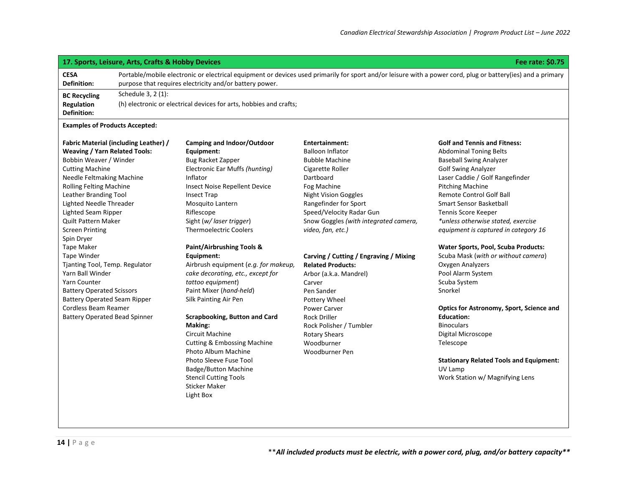## **17. Sports, Leisure, Arts, Crafts & Hobby Devices Fee rate: \$0.75**

**CESA Definition:** Portable/mobile electronic or electrical equipment or devices used primarily for sport and/or leisure with a power cord, plug or battery(ies) and a primary purpose that requires electricity and/or battery power. **BC Recycling Regulation Definition:** Schedule 3, 2 (1): (h) electronic or electrical devices for arts, hobbies and crafts;

#### **Examples of Products Accepted:**

#### **Fabric Material (including Leather) / Weaving / Yarn Related Tools:**

Bobbin Weaver / Winder Cutting Machine Needle Feltmaking Machine Rolling Felting Machine Leather Branding Tool Lighted Needle Threader Lighted Seam Ripper Quilt Pattern Maker Screen Printing Spin Dryer Tape Maker Tape Winder Tjanting Tool, Temp. Regulator Yarn Ball Winder Yarn Counter Battery Operated Scissors Battery Operated Seam Ripper Cordless Beam Reamer Battery Operated Bead Spinner **Camping and Indoor/Outdoor Equipment:** Bug Racket Zapper Electronic Ear Muffs *(hunting)* Inflator Insect Noise Repellent Device Insect Trap Mosquito Lantern Riflescope Sight (*w/ laser trigger*) Thermoelectric Coolers

#### **Paint/Airbrushing Tools & Equipment:**

Airbrush equipment (*e.g. for makeup, cake decorating, etc., except for tattoo equipment*) Paint Mixer (*hand-held*) Silk Painting Air Pen

#### **Scrapbooking, Button and Card Making:**

Circuit Machine Cutting & Embossing Machine Photo Album Machine Photo Sleeve Fuse Tool Badge/Button Machine Stencil Cutting Tools Sticker Maker Light Box

## **Entertainment:** Balloon Inflator Bubble Machine Cigarette Roller Dartboard Fog Machine Night Vision Goggles Rangefinder for Sport Speed/Velocity Radar Gun Snow Goggles *(with integrated camera,*

## **Carving / Cutting / Engraving / Mixing Related Products:**

Arbor (a.k.a. Mandrel) Carver Pen Sander Pottery Wheel Power Carver Rock Driller Rock Polisher / Tumbler Rotary Shears Woodburner Woodburner Pen

*video, fan, etc.)*

#### **Golf and Tennis and Fitness:**

Abdominal Toning Belts Baseball Swing Analyzer Golf Swing Analyzer Laser Caddie / Golf Rangefinder Pitching Machine Remote Control Golf Ball Smart Sensor Basketball Tennis Score Keeper *\*unless otherwise stated, exercise equipment is captured in category 16*

#### **Water Sports, Pool, Scuba Products:**

Scuba Mask (*with or without camera*) Oxygen Analyzers Pool Alarm System Scuba System Snorkel

## **Optics for Astronomy, Sport, Science and Education: Binoculars** Digital Microscope

Telescope

#### **Stationary Related Tools and Equipment:** UV Lamp Work Station w/ Magnifying Lens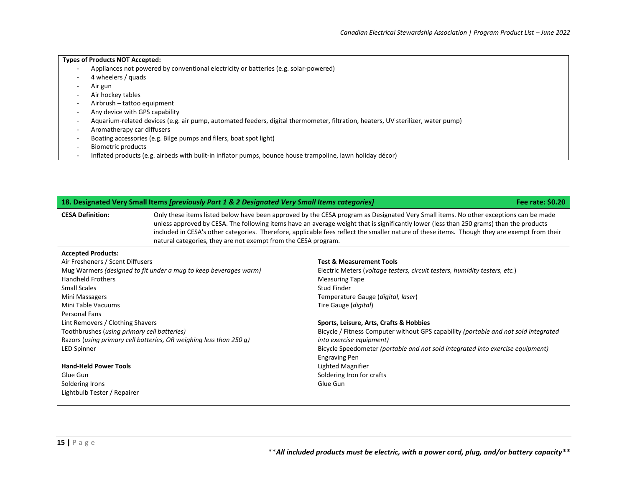## **Types of Products NOT Accepted:** - Appliances not powered by conventional electricity or batteries (e.g. solar-powered) - 4 wheelers / quads - Air gun - Air hockey tables - Airbrush – tattoo equipment - Any device with GPS capability - Aquarium-related devices (e.g. air pump, automated feeders, digital thermometer, filtration, heaters, UV sterilizer, water pump)

- Aromatherapy car diffusers
- Boating accessories (e.g. Bilge pumps and filers, boat spot light)
- Biometric products
- Inflated products (e.g. airbeds with built-in inflator pumps, bounce house trampoline, lawn holiday décor)

| 18. Designated Very Small Items [previously Part 1 & 2 Designated Very Small Items categories] |                                                                                                                                                                                                                                                                                                                                                                                                                                                                                                   |                                                                                     | Fee rate: \$0.20 |
|------------------------------------------------------------------------------------------------|---------------------------------------------------------------------------------------------------------------------------------------------------------------------------------------------------------------------------------------------------------------------------------------------------------------------------------------------------------------------------------------------------------------------------------------------------------------------------------------------------|-------------------------------------------------------------------------------------|------------------|
| <b>CESA Definition:</b>                                                                        | Only these items listed below have been approved by the CESA program as Designated Very Small items. No other exceptions can be made<br>unless approved by CESA. The following items have an average weight that is significantly lower (less than 250 grams) than the products<br>included in CESA's other categories. Therefore, applicable fees reflect the smaller nature of these items. Though they are exempt from their<br>natural categories, they are not exempt from the CESA program. |                                                                                     |                  |
| <b>Accepted Products:</b>                                                                      |                                                                                                                                                                                                                                                                                                                                                                                                                                                                                                   |                                                                                     |                  |
| Air Fresheners / Scent Diffusers                                                               |                                                                                                                                                                                                                                                                                                                                                                                                                                                                                                   | <b>Test &amp; Measurement Tools</b>                                                 |                  |
|                                                                                                | Mug Warmers (designed to fit under a mug to keep beverages warm)                                                                                                                                                                                                                                                                                                                                                                                                                                  | Electric Meters (voltage testers, circuit testers, humidity testers, etc.)          |                  |
| <b>Handheld Frothers</b>                                                                       |                                                                                                                                                                                                                                                                                                                                                                                                                                                                                                   | <b>Measuring Tape</b>                                                               |                  |
| <b>Small Scales</b>                                                                            |                                                                                                                                                                                                                                                                                                                                                                                                                                                                                                   | Stud Finder                                                                         |                  |
| Mini Massagers                                                                                 |                                                                                                                                                                                                                                                                                                                                                                                                                                                                                                   | Temperature Gauge (digital, laser)                                                  |                  |
| Mini Table Vacuums                                                                             |                                                                                                                                                                                                                                                                                                                                                                                                                                                                                                   | Tire Gauge (digital)                                                                |                  |
| Personal Fans                                                                                  |                                                                                                                                                                                                                                                                                                                                                                                                                                                                                                   |                                                                                     |                  |
| Lint Removers / Clothing Shavers                                                               |                                                                                                                                                                                                                                                                                                                                                                                                                                                                                                   | Sports, Leisure, Arts, Crafts & Hobbies                                             |                  |
| Toothbrushes (using primary cell batteries)                                                    |                                                                                                                                                                                                                                                                                                                                                                                                                                                                                                   | Bicycle / Fitness Computer without GPS capability (portable and not sold integrated |                  |
|                                                                                                | Razors (using primary cell batteries, OR weighing less than 250 g)                                                                                                                                                                                                                                                                                                                                                                                                                                | into exercise equipment)                                                            |                  |
| <b>LED Spinner</b>                                                                             |                                                                                                                                                                                                                                                                                                                                                                                                                                                                                                   | Bicycle Speedometer (portable and not sold integrated into exercise equipment)      |                  |
|                                                                                                |                                                                                                                                                                                                                                                                                                                                                                                                                                                                                                   | <b>Engraving Pen</b>                                                                |                  |
| <b>Hand-Held Power Tools</b>                                                                   |                                                                                                                                                                                                                                                                                                                                                                                                                                                                                                   | Lighted Magnifier                                                                   |                  |
| Glue Gun                                                                                       |                                                                                                                                                                                                                                                                                                                                                                                                                                                                                                   | Soldering Iron for crafts                                                           |                  |
| Soldering Irons                                                                                |                                                                                                                                                                                                                                                                                                                                                                                                                                                                                                   | Glue Gun                                                                            |                  |
| Lightbulb Tester / Repairer                                                                    |                                                                                                                                                                                                                                                                                                                                                                                                                                                                                                   |                                                                                     |                  |
|                                                                                                |                                                                                                                                                                                                                                                                                                                                                                                                                                                                                                   |                                                                                     |                  |

\*\**All included products must be electric, with a power cord, plug, and/or battery capacity\*\**